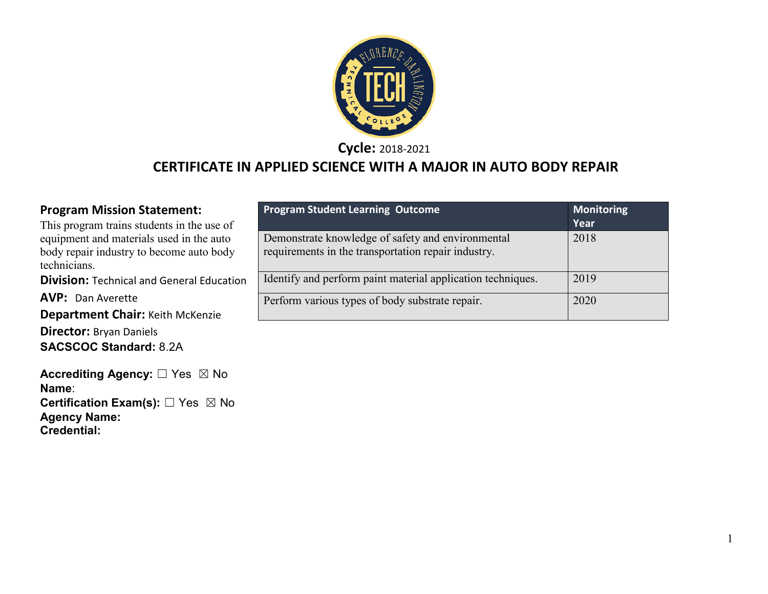

**Cycle:** 2018-2021

### **CERTIFICATE IN APPLIED SCIENCE WITH A MAJOR IN AUTO BODY REPAIR**

#### **Program Mission Statement:**

This program trains students in the use of equipment and materials used in the auto body repair industry to become auto body technicians.

**Division:** Technical and General Education

**AVP: Dan Averette** 

**Department Chair:** Keith McKenzie

**Director:** Bryan Daniels **SACSCOC Standard:** 8.2A

**Accrediting Agency:** ☐ Yes ☒ No **Name**: **Certification Exam(s):** □ Yes ⊠ No **Agency Name: Credential:**

| <b>Program Student Learning Outcome</b>                                                                  | Monitoring<br>Year |
|----------------------------------------------------------------------------------------------------------|--------------------|
| Demonstrate knowledge of safety and environmental<br>requirements in the transportation repair industry. | 2018               |
| Identify and perform paint material application techniques.                                              | 2019               |
| Perform various types of body substrate repair.                                                          | 2020               |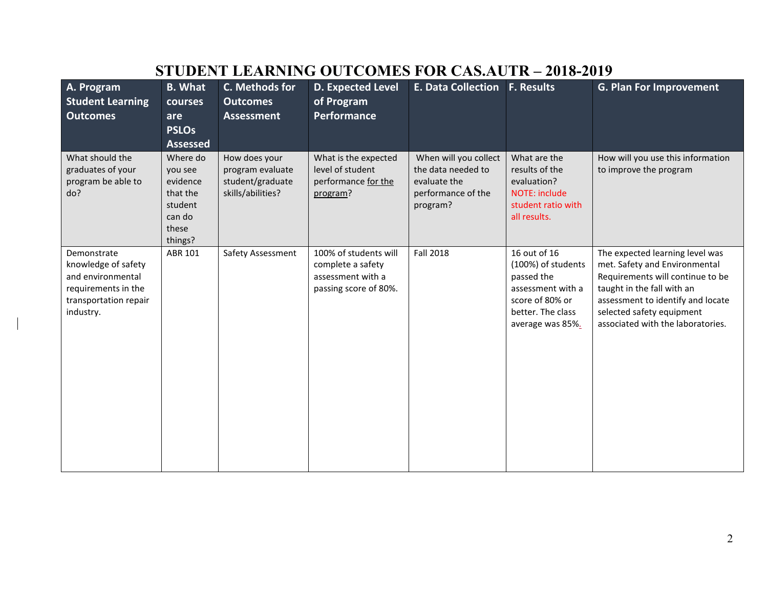| A. Program                         | <b>B.</b> What  | C. Methods for    | <b>D. Expected Level</b> | <b>E. Data Collection</b> | <b>F. Results</b>                    | <b>G. Plan For Improvement</b>                                 |
|------------------------------------|-----------------|-------------------|--------------------------|---------------------------|--------------------------------------|----------------------------------------------------------------|
| <b>Student Learning</b>            | courses         | <b>Outcomes</b>   | of Program               |                           |                                      |                                                                |
| <b>Outcomes</b>                    | are             | <b>Assessment</b> | Performance              |                           |                                      |                                                                |
|                                    | <b>PSLOs</b>    |                   |                          |                           |                                      |                                                                |
|                                    | <b>Assessed</b> |                   |                          |                           |                                      |                                                                |
| What should the                    | Where do        | How does your     | What is the expected     | When will you collect     | What are the                         | How will you use this information                              |
| graduates of your                  | you see         | program evaluate  | level of student         | the data needed to        | results of the                       | to improve the program                                         |
| program be able to                 | evidence        | student/graduate  | performance for the      | evaluate the              | evaluation?                          |                                                                |
| do?                                | that the        | skills/abilities? | program?                 | performance of the        | NOTE: include                        |                                                                |
|                                    | student         |                   |                          | program?                  | student ratio with                   |                                                                |
|                                    | can do<br>these |                   |                          |                           | all results.                         |                                                                |
|                                    | things?         |                   |                          |                           |                                      |                                                                |
| Demonstrate                        | ABR 101         | Safety Assessment | 100% of students will    | <b>Fall 2018</b>          | 16 out of 16                         | The expected learning level was                                |
| knowledge of safety                |                 |                   | complete a safety        |                           | (100%) of students                   | met. Safety and Environmental                                  |
| and environmental                  |                 |                   | assessment with a        |                           | passed the                           | Requirements will continue to be                               |
| requirements in the                |                 |                   | passing score of 80%.    |                           | assessment with a                    | taught in the fall with an                                     |
| transportation repair<br>industry. |                 |                   |                          |                           | score of 80% or<br>better. The class | assessment to identify and locate<br>selected safety equipment |
|                                    |                 |                   |                          |                           | average was 85%.                     | associated with the laboratories.                              |
|                                    |                 |                   |                          |                           |                                      |                                                                |
|                                    |                 |                   |                          |                           |                                      |                                                                |
|                                    |                 |                   |                          |                           |                                      |                                                                |
|                                    |                 |                   |                          |                           |                                      |                                                                |
|                                    |                 |                   |                          |                           |                                      |                                                                |
|                                    |                 |                   |                          |                           |                                      |                                                                |
|                                    |                 |                   |                          |                           |                                      |                                                                |
|                                    |                 |                   |                          |                           |                                      |                                                                |
|                                    |                 |                   |                          |                           |                                      |                                                                |
|                                    |                 |                   |                          |                           |                                      |                                                                |

### **STUDENT LEARNING OUTCOMES FOR CAS.AUTR – 2018-2019**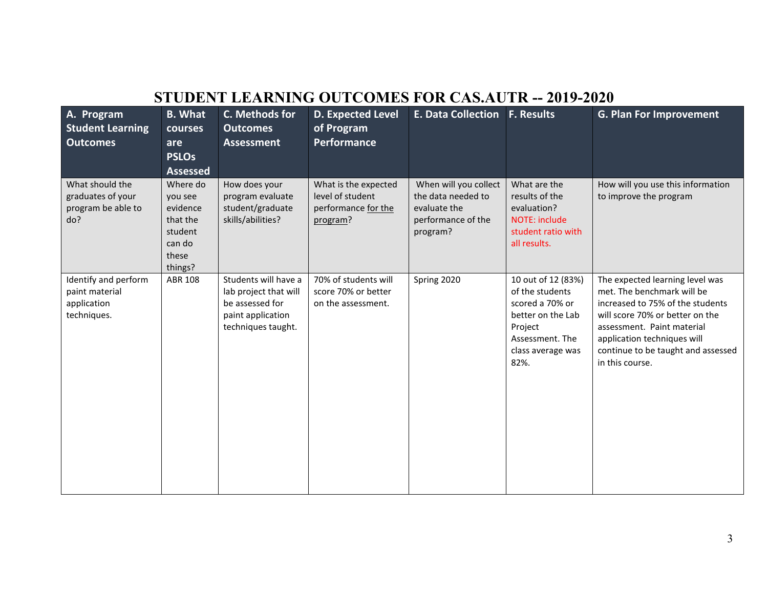# **STUDENT LEARNING OUTCOMES FOR CAS.AUTR -- 2019-2020**

| A. Program<br><b>Student Learning</b><br><b>Outcomes</b>             | <b>B.</b> What<br><b>courses</b><br>are<br><b>PSLOs</b><br><b>Assessed</b>           | C. Methods for<br><b>Outcomes</b><br><b>Assessment</b>                                                      | <b>D. Expected Level</b><br>of Program<br>Performance                       | E. Data Collection   F. Results                                                               |                                                                                                                                          | <b>G. Plan For Improvement</b>                                                                                                                                                                                                                             |
|----------------------------------------------------------------------|--------------------------------------------------------------------------------------|-------------------------------------------------------------------------------------------------------------|-----------------------------------------------------------------------------|-----------------------------------------------------------------------------------------------|------------------------------------------------------------------------------------------------------------------------------------------|------------------------------------------------------------------------------------------------------------------------------------------------------------------------------------------------------------------------------------------------------------|
| What should the<br>graduates of your<br>program be able to<br>do?    | Where do<br>you see<br>evidence<br>that the<br>student<br>can do<br>these<br>things? | How does your<br>program evaluate<br>student/graduate<br>skills/abilities?                                  | What is the expected<br>level of student<br>performance for the<br>program? | When will you collect<br>the data needed to<br>evaluate the<br>performance of the<br>program? | What are the<br>results of the<br>evaluation?<br>NOTE: include<br>student ratio with<br>all results.                                     | How will you use this information<br>to improve the program                                                                                                                                                                                                |
| Identify and perform<br>paint material<br>application<br>techniques. | <b>ABR 108</b>                                                                       | Students will have a<br>lab project that will<br>be assessed for<br>paint application<br>techniques taught. | 70% of students will<br>score 70% or better<br>on the assessment.           | Spring 2020                                                                                   | 10 out of 12 (83%)<br>of the students<br>scored a 70% or<br>better on the Lab<br>Project<br>Assessment. The<br>class average was<br>82%. | The expected learning level was<br>met. The benchmark will be<br>increased to 75% of the students<br>will score 70% or better on the<br>assessment. Paint material<br>application techniques will<br>continue to be taught and assessed<br>in this course. |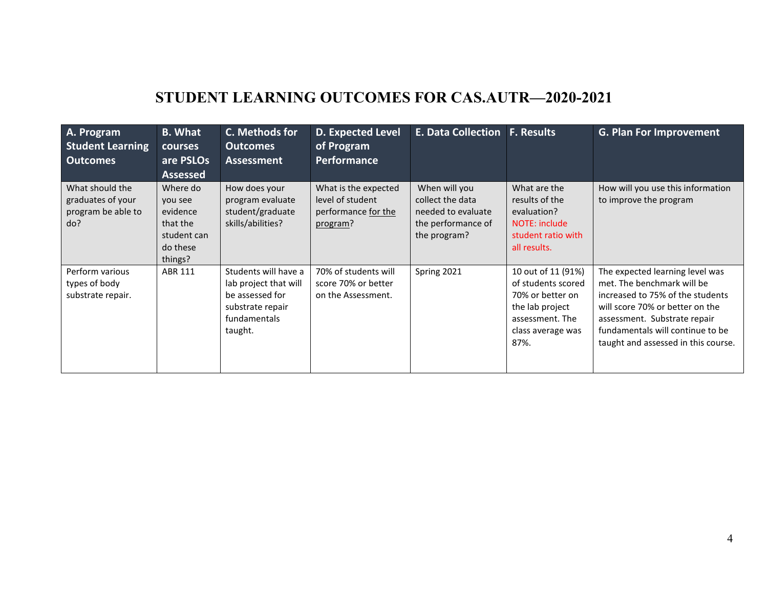## **STUDENT LEARNING OUTCOMES FOR CAS.AUTR—2020-2021**

| A. Program<br><b>Student Learning</b><br><b>Outcomes</b>          | <b>B.</b> What<br>courses<br>are PSLOs<br><b>Assessed</b>                         | C. Methods for<br><b>Outcomes</b><br><b>Assessment</b>                                                          | <b>D. Expected Level</b><br>of Program<br><b>Performance</b>                | <b>E. Data Collection</b>                                                                     | <b>F. Results</b>                                                                                                               | <b>G. Plan For Improvement</b>                                                                                                                                                                                                                  |
|-------------------------------------------------------------------|-----------------------------------------------------------------------------------|-----------------------------------------------------------------------------------------------------------------|-----------------------------------------------------------------------------|-----------------------------------------------------------------------------------------------|---------------------------------------------------------------------------------------------------------------------------------|-------------------------------------------------------------------------------------------------------------------------------------------------------------------------------------------------------------------------------------------------|
| What should the<br>graduates of your<br>program be able to<br>do? | Where do<br>you see<br>evidence<br>that the<br>student can<br>do these<br>things? | How does your<br>program evaluate<br>student/graduate<br>skills/abilities?                                      | What is the expected<br>level of student<br>performance for the<br>program? | When will you<br>collect the data<br>needed to evaluate<br>the performance of<br>the program? | What are the<br>results of the<br>evaluation?<br>NOTE: include<br>student ratio with<br>all results.                            | How will you use this information<br>to improve the program                                                                                                                                                                                     |
| Perform various<br>types of body<br>substrate repair.             | ABR 111                                                                           | Students will have a<br>lab project that will<br>be assessed for<br>substrate repair<br>fundamentals<br>taught. | 70% of students will<br>score 70% or better<br>on the Assessment.           | Spring 2021                                                                                   | 10 out of 11 (91%)<br>of students scored<br>70% or better on<br>the lab project<br>assessment. The<br>class average was<br>87%. | The expected learning level was<br>met. The benchmark will be<br>increased to 75% of the students<br>will score 70% or better on the<br>assessment. Substrate repair<br>fundamentals will continue to be<br>taught and assessed in this course. |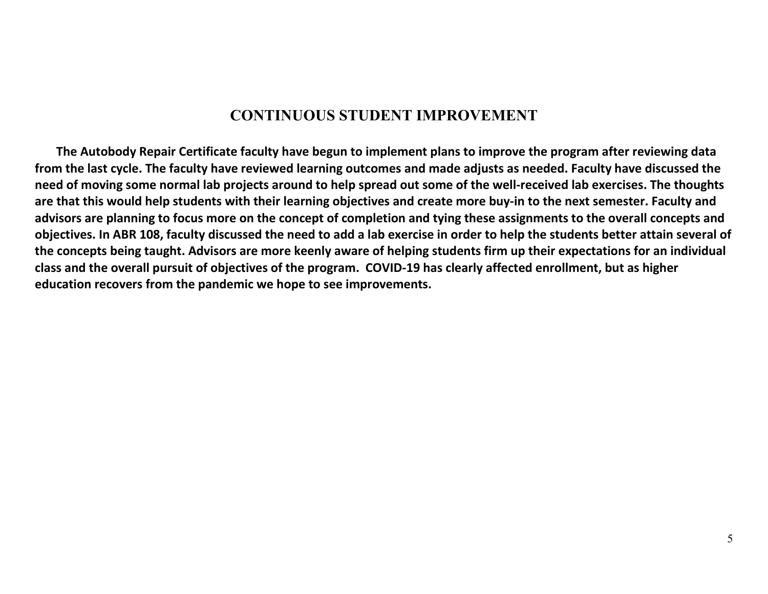### **CONTINUOUS STUDENT IMPROVEMENT**

 **The Autobody Repair Certificate faculty have begun to implement plans to improve the program after reviewing data from the last cycle. The faculty have reviewed learning outcomes and made adjusts as needed. Faculty have discussed the need of moving some normal lab projects around to help spread out some of the well-received lab exercises. The thoughts are that this would help students with their learning objectives and create more buy-in to the next semester. Faculty and advisors are planning to focus more on the concept of completion and tying these assignments to the overall concepts and objectives. In ABR 108, faculty discussed the need to add a lab exercise in order to help the students better attain several of the concepts being taught. Advisors are more keenly aware of helping students firm up their expectations for an individual class and the overall pursuit of objectives of the program. COVID-19 has clearly affected enrollment, but as higher education recovers from the pandemic we hope to see improvements.**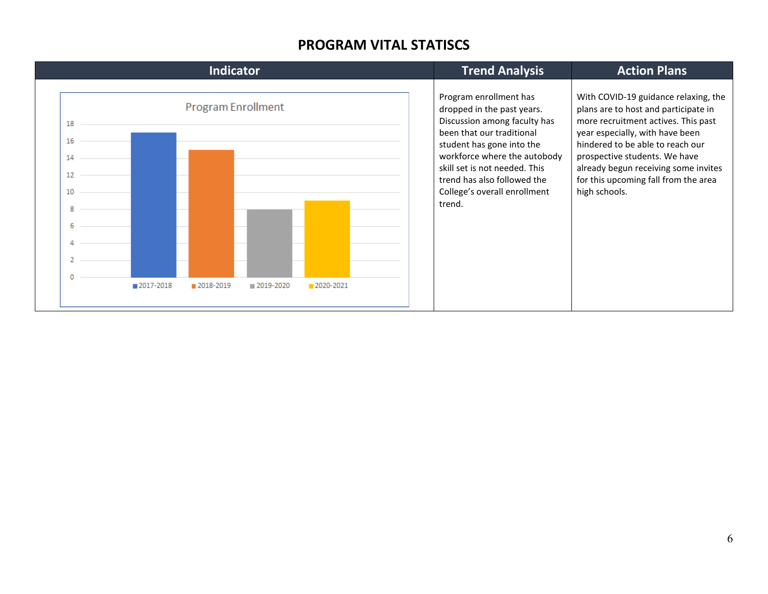#### **PROGRAM VITAL STATISCS**

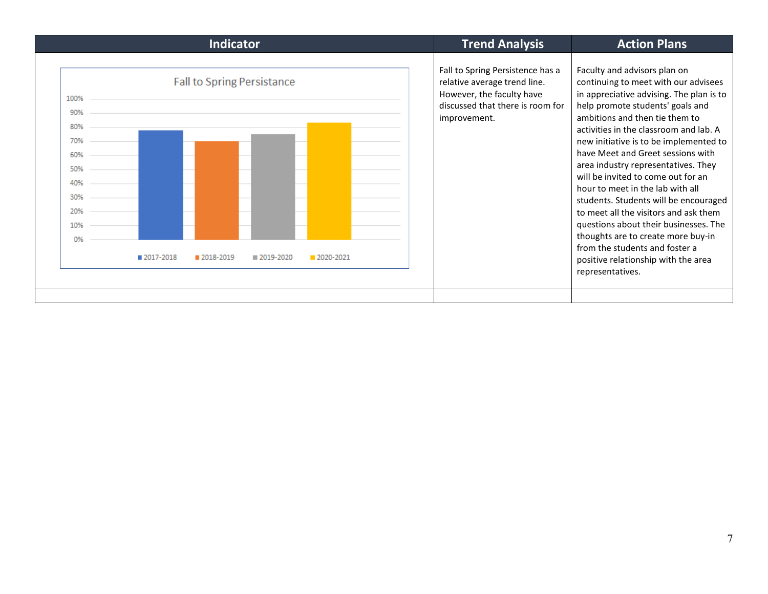| <b>Indicator</b>                                                                                                                                                     | <b>Trend Analysis</b>                                                                                                                             | <b>Action Plans</b>                                                                                                                                                                                                                                                                                                                                                                                                                                                                                                                                                                                                                                                                            |
|----------------------------------------------------------------------------------------------------------------------------------------------------------------------|---------------------------------------------------------------------------------------------------------------------------------------------------|------------------------------------------------------------------------------------------------------------------------------------------------------------------------------------------------------------------------------------------------------------------------------------------------------------------------------------------------------------------------------------------------------------------------------------------------------------------------------------------------------------------------------------------------------------------------------------------------------------------------------------------------------------------------------------------------|
| <b>Fall to Spring Persistance</b><br>100%<br>90%<br>80%<br>70%<br>60%<br>50%<br>40%<br>30%<br>20%<br>10%<br>0%<br>2017-2018<br>2018-2019<br>2020-2021<br>■ 2019-2020 | Fall to Spring Persistence has a<br>relative average trend line.<br>However, the faculty have<br>discussed that there is room for<br>improvement. | Faculty and advisors plan on<br>continuing to meet with our advisees<br>in appreciative advising. The plan is to<br>help promote students' goals and<br>ambitions and then tie them to<br>activities in the classroom and lab. A<br>new initiative is to be implemented to<br>have Meet and Greet sessions with<br>area industry representatives. They<br>will be invited to come out for an<br>hour to meet in the lab with all<br>students. Students will be encouraged<br>to meet all the visitors and ask them<br>questions about their businesses. The<br>thoughts are to create more buy-in<br>from the students and foster a<br>positive relationship with the area<br>representatives. |
|                                                                                                                                                                      |                                                                                                                                                   |                                                                                                                                                                                                                                                                                                                                                                                                                                                                                                                                                                                                                                                                                                |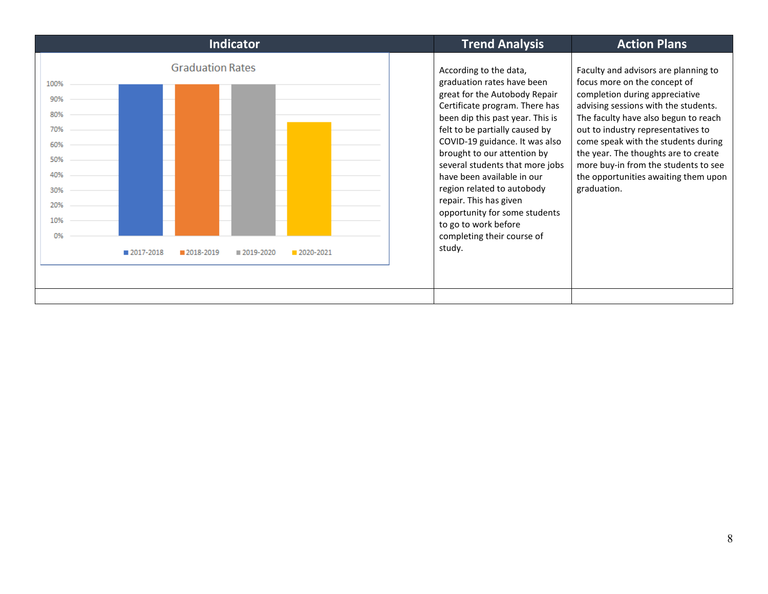